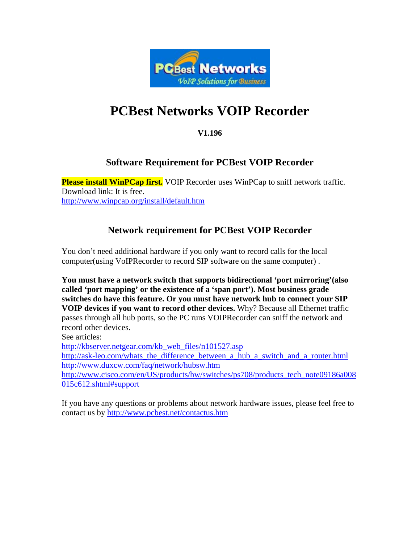

# **PCBest Networks VOIP Recorder**

### **V1.196**

## **Software Requirement for PCBest VOIP Recorder**

**Please install WinPCap first.** VOIP Recorder uses WinPCap to sniff network traffic. Download link: It is free. <http://www.winpcap.org/install/default.htm>

## **Network requirement for PCBest VOIP Recorder**

You don't need additional hardware if you only want to record calls for the local computer(using VoIPRecorder to record SIP software on the same computer) .

**You must have a network switch that supports bidirectional 'port mirroring'(also called 'port mapping' or the existence of a 'span port'). Most business grade switches do have this feature. Or you must have network hub to connect your SIP VOIP devices if you want to record other devices.** Why? Because all Ethernet traffic passes through all hub ports, so the PC runs VOIPRecorder can sniff the network and record other devices.

See articles:

[http://kbserver.netgear.com/kb\\_web\\_files/n101527.asp](http://kbserver.netgear.com/kb_web_files/n101527.asp)

[http://ask-leo.com/whats\\_the\\_difference\\_between\\_a\\_hub\\_a\\_switch\\_and\\_a\\_router.html](http://ask-leo.com/whats_the_difference_between_a_hub_a_switch_and_a_router.html) <http://www.duxcw.com/faq/network/hubsw.htm>

[http://www.cisco.com/en/US/products/hw/switches/ps708/products\\_tech\\_note09186a008](http://www.cisco.com/en/US/products/hw/switches/ps708/products_tech_note09186a008015c612.shtml#support) [015c612.shtml#support](http://www.cisco.com/en/US/products/hw/switches/ps708/products_tech_note09186a008015c612.shtml#support)

If you have any questions or problems about network hardware issues, please feel free to contact us by<http://www.pcbest.net/contactus.htm>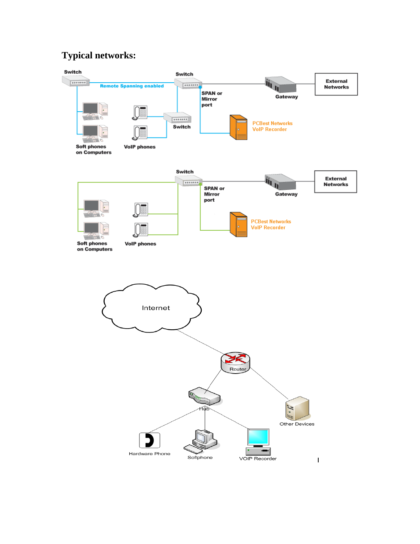# **Typical networks:**

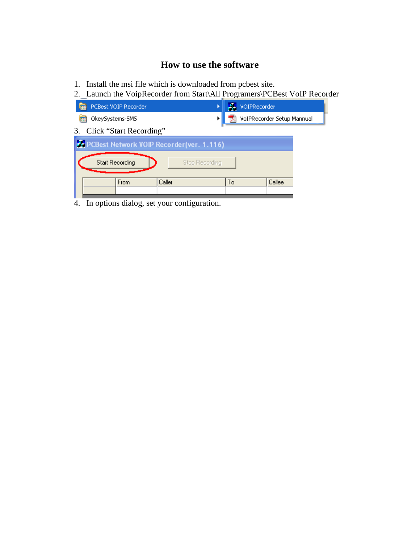## **How to use the software**

- 1. Install the msi file which is downloaded from pcbest site.
- 2. Launch the VoipRecorder from Start\All Programers\PCBest VoIP Recorder

| PCBest VOIP Recorder                                |                | VOIPRecorder |                            |  |
|-----------------------------------------------------|----------------|--------------|----------------------------|--|
| OkeySystems-SMS                                     |                |              | VoIPRecorder Setup Mannual |  |
| Click "Start Recording"<br>3.                       |                |              |                            |  |
| <b>36 PCBest Network VOIP Recorder (ver. 1.116)</b> |                |              |                            |  |
| <b>Start Recording</b>                              | Stop Recording |              |                            |  |
| <b>From</b>                                         | Caller         | Tо           | Callee                     |  |
|                                                     |                |              |                            |  |

4. In options dialog, set your configuration.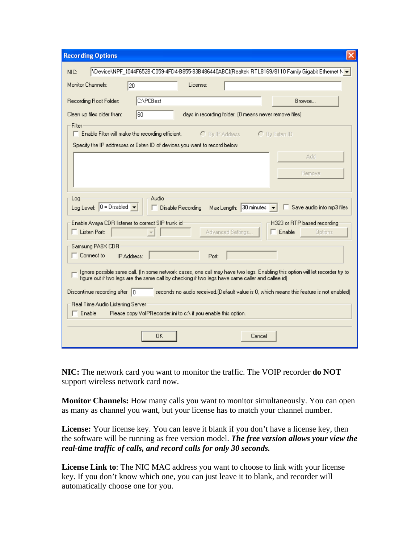| <b>Recording Options</b>                                                                                                                                                                                                                                                                                                                                                                                                                                                                       |
|------------------------------------------------------------------------------------------------------------------------------------------------------------------------------------------------------------------------------------------------------------------------------------------------------------------------------------------------------------------------------------------------------------------------------------------------------------------------------------------------|
| VDeviceVNPF_{044F652B-C059-4FD4-B855-83B486440ABC}{Realtek RTL8169/8110 Family Gigabit Ethernet N →<br>NIC:                                                                                                                                                                                                                                                                                                                                                                                    |
| Monitor Channels:<br>License:<br> 20                                                                                                                                                                                                                                                                                                                                                                                                                                                           |
| C:\PCBest<br>Recording Root Folder:<br>Browse                                                                                                                                                                                                                                                                                                                                                                                                                                                  |
| Clean up files older than:<br>l60<br>days in recording folder. (0 means never remove files)                                                                                                                                                                                                                                                                                                                                                                                                    |
| Filter<br>Enable Filter will make the recording efficient.<br>$C$ By IP Address<br>C By Exten ID                                                                                                                                                                                                                                                                                                                                                                                               |
| Specify the IP addresses or Exten ID of devices you want to record below.                                                                                                                                                                                                                                                                                                                                                                                                                      |
| Add                                                                                                                                                                                                                                                                                                                                                                                                                                                                                            |
| Bemove                                                                                                                                                                                                                                                                                                                                                                                                                                                                                         |
|                                                                                                                                                                                                                                                                                                                                                                                                                                                                                                |
| Audio<br>Log<br>Log Level: $0 = Disabeled$<br>Max Length: 30 minutes<br>Save audio into mp3 files<br>Disable Recording<br>H323 or RTP based recording<br>Enable Avaya CDR listener to correct SIP trunk id                                                                                                                                                                                                                                                                                     |
| Listen Port:<br>Advanced Settings<br>Enable<br>Options                                                                                                                                                                                                                                                                                                                                                                                                                                         |
| Samsung PABX CDR<br>Connect to<br>IP Address:<br>Port:                                                                                                                                                                                                                                                                                                                                                                                                                                         |
| Ignore possible same call. (In some network cases, one call may have two legs. Enabling this option will let recorder try to<br>figure out if two legs are the same call by checking if two legs have same caller and callee id)<br>Discontinue recording after $\vert 0 \rangle$<br>seconds no audio received. [Default value is 0, which means this feature is not enabled]<br>Real Time Audio Listening Server<br>Enable<br>Please copy VoIPRecorder, ini to c:\ if you enable this option. |
| OΚ<br>Cancel                                                                                                                                                                                                                                                                                                                                                                                                                                                                                   |

**NIC:** The network card you want to monitor the traffic. The VOIP recorder **do NOT**  support wireless network card now.

**Monitor Channels:** How many calls you want to monitor simultaneously. You can open as many as channel you want, but your license has to match your channel number.

**License:** Your license key. You can leave it blank if you don't have a license key, then the software will be running as free version model. *The free version allows your view the real-time traffic of calls, and record calls for only 30 seconds.*

**License Link to**: The NIC MAC address you want to choose to link with your license key. If you don't know which one, you can just leave it to blank, and recorder will automatically choose one for you.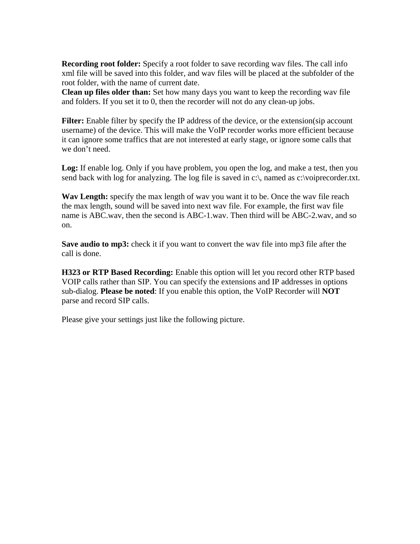**Recording root folder:** Specify a root folder to save recording wav files. The call info xml file will be saved into this folder, and wav files will be placed at the subfolder of the root folder, with the name of current date.

**Clean up files older than:** Set how many days you want to keep the recording wav file and folders. If you set it to 0, then the recorder will not do any clean-up jobs.

Filter: Enable filter by specify the IP address of the device, or the extension(sip account username) of the device. This will make the VoIP recorder works more efficient because it can ignore some traffics that are not interested at early stage, or ignore some calls that we don't need.

**Log:** If enable log. Only if you have problem, you open the log, and make a test, then you send back with log for analyzing. The log file is saved in c:\, named as c:\voiprecorder.txt.

**Wav Length:** specify the max length of wav you want it to be. Once the wav file reach the max length, sound will be saved into next wav file. For example, the first wav file name is ABC.wav, then the second is ABC-1.wav. Then third will be ABC-2.wav, and so on.

**Save audio to mp3:** check it if you want to convert the wav file into mp3 file after the call is done.

**H323 or RTP Based Recording:** Enable this option will let you record other RTP based VOIP calls rather than SIP. You can specify the extensions and IP addresses in options sub-dialog. **Please be noted**: If you enable this option, the VoIP Recorder will **NOT** parse and record SIP calls.

Please give your settings just like the following picture.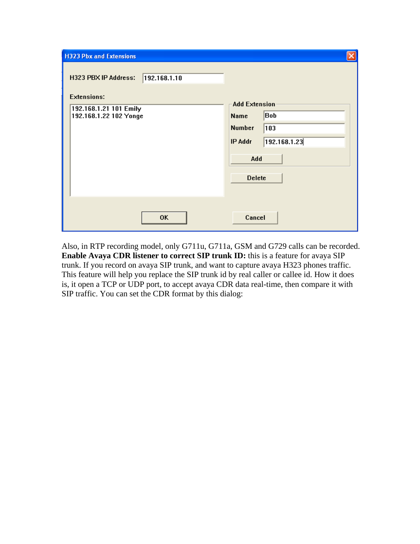| <b>H323 Pbx and Extensions</b>                                                                                        |                                                                                                                       |
|-----------------------------------------------------------------------------------------------------------------------|-----------------------------------------------------------------------------------------------------------------------|
| <b>H323 PBX IP Address:</b><br>192.168.1.10<br><b>Extensions:</b><br>192.168.1.21 101 Emily<br>192.168.1.22 102 Yonge | <b>Add Extension</b><br>Bob<br>Name<br><b>Number</b><br>103<br>192.168.1.23<br><b>IP Addr</b><br>Add<br><b>Delete</b> |
| <b>OK</b>                                                                                                             | Cancel                                                                                                                |

Also, in RTP recording model, only G711u, G711a, GSM and G729 calls can be recorded. **Enable Avaya CDR listener to correct SIP trunk ID:** this is a feature for avaya SIP trunk. If you record on avaya SIP trunk, and want to capture avaya H323 phones traffic. This feature will help you replace the SIP trunk id by real caller or callee id. How it does is, it open a TCP or UDP port, to accept avaya CDR data real-time, then compare it with SIP traffic. You can set the CDR format by this dialog: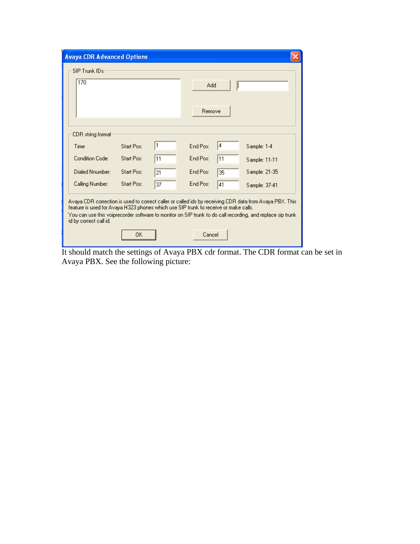| <b>Avaya CDR Advanced Options</b>                                                                             |            |    |               |    |                                                                                                                                                                                                                        |
|---------------------------------------------------------------------------------------------------------------|------------|----|---------------|----|------------------------------------------------------------------------------------------------------------------------------------------------------------------------------------------------------------------------|
| SIP Trunk IDs                                                                                                 |            |    |               |    |                                                                                                                                                                                                                        |
| 170                                                                                                           |            |    | Add<br>Remove |    |                                                                                                                                                                                                                        |
| CDR string format:                                                                                            |            |    |               |    |                                                                                                                                                                                                                        |
| Time                                                                                                          | Start Pos: | 1  | End Pos:      | 14 | Sample: 1-4                                                                                                                                                                                                            |
| Condition Code:                                                                                               | Start Pos: | 11 | End Pos:      | 11 | Sample: 11-11                                                                                                                                                                                                          |
| Dialed Nnumber:                                                                                               | Start Pos: | 21 | End Pos:      | 35 | Sample: 21-35                                                                                                                                                                                                          |
| Calling Number:                                                                                               | Start Pos: | 37 | End Pos:      | 41 | Sample: 37-41                                                                                                                                                                                                          |
| feature is used for Avaya H323 phones which use SIP trunk to receive or make calls.<br>id by correct call id. | 0K         |    | Cancel        |    | Avaya CDR correction is used to correct caller or called ids by receiving CDR data from Avaya PBX. This<br>You can use this voiprecorder software to monitor on SIP trunk to do call recording, and replace sip trunk. |

It should match the settings of Avaya PBX cdr format. The CDR format can be set in Avaya PBX. See the following picture: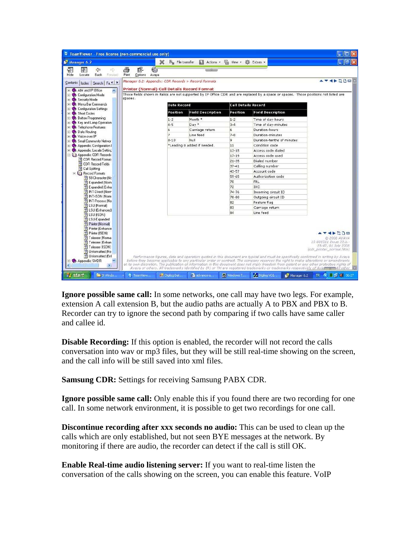| C TeamViewer - Free license (non-commercial use only) |                                                    |                                  |                                                                                                                                                                                                                                                                                    |                            |                            |             |                                                 |
|-------------------------------------------------------|----------------------------------------------------|----------------------------------|------------------------------------------------------------------------------------------------------------------------------------------------------------------------------------------------------------------------------------------------------------------------------------|----------------------------|----------------------------|-------------|-------------------------------------------------|
| Manager 6.2                                           |                                                    | ×                                | File transfer Actions . The View . 12 Extras .                                                                                                                                                                                                                                     |                            |                            |             |                                                 |
| 罕<br>⇦<br><b>Change</b><br>d)                         | OF-                                                | $\epsilon$                       |                                                                                                                                                                                                                                                                                    |                            |                            |             |                                                 |
| Hide<br>Back<br>Locate<br>Forward                     | Options<br><b>Print</b>                            | Avaya                            |                                                                                                                                                                                                                                                                                    |                            |                            |             |                                                 |
| Index Search Fa 1<br>Contents                         |                                                    |                                  | Manager 6.2: Appendix: CDR Records > Record Formats                                                                                                                                                                                                                                |                            |                            |             | AV4DSDEE                                        |
| + AIM and IP Office<br>+ Configuration Mode           | <b>Printer (Normal) Call Details Record Format</b> |                                  | Those fields shown in italics are not supported by IP Office CDR and are replaced by a space or spaces. Those positions not listed are                                                                                                                                             |                            |                            |             |                                                 |
| + Security Mode                                       | spaces.                                            |                                  |                                                                                                                                                                                                                                                                                    |                            |                            |             |                                                 |
| + Menu Bar Commands<br>+ Configuration Settings       |                                                    | <b>Date Record</b>               |                                                                                                                                                                                                                                                                                    | <b>Call Details Record</b> |                            |             |                                                 |
| + Short Codes                                         |                                                    | Position                         | <b>Field Description</b>                                                                                                                                                                                                                                                           | Position                   | <b>Field Description</b>   |             |                                                 |
| + See Button Programming                              |                                                    | $1 - 2$                          | Month *                                                                                                                                                                                                                                                                            | $1 - 2$                    | Time of day-hours          |             |                                                 |
| + Key and Lamp Operation<br>+ Co Telephone Features   |                                                    | $4 - 5$                          | Day *                                                                                                                                                                                                                                                                              | $3 - 4$                    | Time of day-minutes        |             |                                                 |
| + C. Data Routing                                     |                                                    | ĥ                                | Carriage return                                                                                                                                                                                                                                                                    | 6                          | Duration-hours             |             |                                                 |
| + Voice over IP                                       |                                                    | 7                                | Line feed                                                                                                                                                                                                                                                                          | $7 - 8$                    | Duration-minutes           |             |                                                 |
| + Small Community Networ                              |                                                    | $8 - 10$                         | Null                                                                                                                                                                                                                                                                               | 9                          | Duration-tenths of minutes |             |                                                 |
| + Appendix: Configuration I                           |                                                    |                                  | *Leading 0 added if needed.                                                                                                                                                                                                                                                        | 11                         | Condition code             |             |                                                 |
| + Ce Appendix: Locale Settinc                         |                                                    |                                  |                                                                                                                                                                                                                                                                                    | $13 - 15$                  | Access code dialed         |             |                                                 |
| <b>El UI</b> Appendix: CDR Records                    |                                                    |                                  |                                                                                                                                                                                                                                                                                    | $17 - 19$                  | Access code used           |             |                                                 |
| ?] CDR Record Format:<br>? CDR Record Fields          |                                                    |                                  |                                                                                                                                                                                                                                                                                    | $21 - 35$                  | Dialed number              |             |                                                 |
| ? Call Splitting                                      |                                                    |                                  |                                                                                                                                                                                                                                                                                    | $37 - 41$                  | Calling number             |             |                                                 |
| $\equiv$ 001 Record Formats                           |                                                    |                                  |                                                                                                                                                                                                                                                                                    | 43-57                      | Account code               |             |                                                 |
| ? 59 Character INc                                    |                                                    |                                  |                                                                                                                                                                                                                                                                                    | $59 - 65$                  | Authorization code         |             |                                                 |
| ? Expanded (Norm                                      |                                                    |                                  |                                                                                                                                                                                                                                                                                    | 70                         | FRL                        |             |                                                 |
| ? Expanded (Enha                                      |                                                    |                                  |                                                                                                                                                                                                                                                                                    | 72                         | <b>IXC</b>                 |             |                                                 |
| ? INT-Direct (Norm                                    |                                                    |                                  |                                                                                                                                                                                                                                                                                    | $74 - 76$                  | Incoming circuit ID        |             |                                                 |
| ? INT-ISDN (Norm)                                     |                                                    |                                  |                                                                                                                                                                                                                                                                                    | 78-80                      | Outgoing circuit ID        |             |                                                 |
| ? INT-Process (No<br><b>?</b> LSU (Normal)            |                                                    |                                  |                                                                                                                                                                                                                                                                                    | 82                         | Feature flag               |             |                                                 |
| ? LSU (Enhanced)                                      |                                                    |                                  |                                                                                                                                                                                                                                                                                    | 83                         | Carriage return            |             |                                                 |
| ? LSU (ISDN)                                          |                                                    |                                  |                                                                                                                                                                                                                                                                                    | 84                         | Line feed                  |             |                                                 |
| ? LSU-Expanded                                        |                                                    |                                  |                                                                                                                                                                                                                                                                                    |                            |                            |             |                                                 |
| ? Printer (Normal)<br>? Printer (Enhance              |                                                    |                                  |                                                                                                                                                                                                                                                                                    |                            |                            |             |                                                 |
| ? Printer (ISDN)                                      |                                                    |                                  |                                                                                                                                                                                                                                                                                    |                            |                            |             | ◀▶50◎                                           |
| ? Teleseer (Norma                                     |                                                    |                                  |                                                                                                                                                                                                                                                                                    |                            |                            |             | @ 2008 AVAYA                                    |
| ? Teleseer (Enhan                                     |                                                    |                                  |                                                                                                                                                                                                                                                                                    |                            |                            |             | 15-601011 Issue 22.b.-                          |
| ? Teleseer (ISDN)                                     |                                                    |                                  |                                                                                                                                                                                                                                                                                    |                            |                            |             | 23:47, 01 July 2008<br>(cdr printer normal.htm) |
| ? Unformatted INo                                     |                                                    |                                  |                                                                                                                                                                                                                                                                                    |                            |                            |             |                                                 |
| ? Unformatted (Enl<br>v                               |                                                    |                                  | Performance figures, data and operation quoted in this document are typical and must be specifically confirmed in writing by Avaya                                                                                                                                                 |                            |                            |             |                                                 |
| + Appendix: SMDR<br>×                                 |                                                    |                                  | before they become applicable to any particular order or contract. The company reserves the right to make alterations or amendments<br>at its own discretion. The publication of information in this document does not imply freedom from patent or any other protective rights of |                            |                            |             |                                                 |
|                                                       |                                                    |                                  | Avaya or others. All trademarks identified by (R) or TM are registered trademarks or trademarks respectively of Ava                                                                                                                                                                |                            |                            |             |                                                 |
| <sup>2</sup> 3 Windo<br><b><i>i start</i></b>         | <b>C</b> TeamView                                  | <b>b<sup>3</sup></b> Digitog Dat | advance-s                                                                                                                                                                                                                                                                          | Windows T                  | Digitog VOI                | Manager 6.2 | TR 《 图 · 1 06:27                                |

**Ignore possible same call:** In some networks, one call may have two legs. For example, extension A call extension B, but the audio paths are actually A to PBX and PBX to B. Recorder can try to ignore the second path by comparing if two calls have same caller and callee id.

**Disable Recording:** If this option is enabled, the recorder will not record the calls conversation into wav or mp3 files, but they will be still real-time showing on the screen, and the call info will be still saved into xml files.

**Samsung CDR:** Settings for receiving Samsung PABX CDR.

**Ignore possible same call:** Only enable this if you found there are two recording for one call. In some network environment, it is possible to get two recordings for one call.

**Discontinue recording after xxx seconds no audio:** This can be used to clean up the calls which are only established, but not seen BYE messages at the network. By monitoring if there are audio, the recorder can detect if the call is still OK.

**Enable Real-time audio listening server:** If you want to real-time listen the conversation of the calls showing on the screen, you can enable this feature. VoIP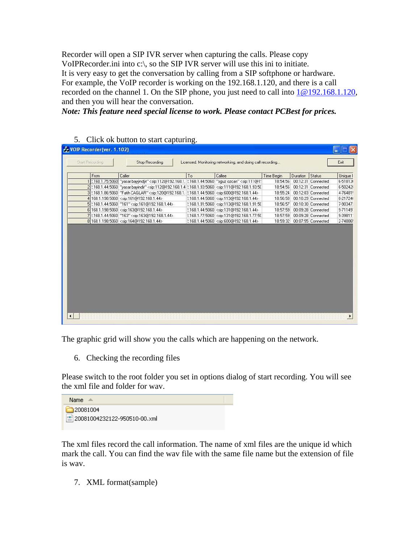Recorder will open a SIP IVR server when capturing the calls. Please copy VoIPRecorder.ini into c:\, so the SIP IVR server will use this ini to initiate. It is very easy to get the conversation by calling from a SIP softphone or hardware. For example, the VoIP recorder is working on the 192.168.1.120, and there is a call recorded on the channel 1. On the SIP phone, you just need to call into  $1@192.168.1.120$ , and then you will hear the conversation.

*Note: This feature need special license to work. Please contact PCBest for prices.* 

5. Click ok button to start capturing.

|                 | <b>Fr. VOIP Recorder(ver. 1.102)</b> |                                                                                                                                                                                                                                            |    |                                                                                                                                                   |                   |          |                    |          |
|-----------------|--------------------------------------|--------------------------------------------------------------------------------------------------------------------------------------------------------------------------------------------------------------------------------------------|----|---------------------------------------------------------------------------------------------------------------------------------------------------|-------------------|----------|--------------------|----------|
| Start Recording |                                      | Stop Recording                                                                                                                                                                                                                             |    | Licensed, Monitoring networking, and doing call recording                                                                                         |                   |          |                    | Exit     |
|                 | From                                 | Caller                                                                                                                                                                                                                                     | To | Callee                                                                                                                                            | <b>Time Begin</b> | Duration | Status             | Unique I |
|                 |                                      | 1 2.168.1.75:5060 "yasar bayyndyr" <sip:112@192.168.1.2.168.1.44:5060 "oguz="" <sip:111@1!<="" ozcan"="" td=""><td></td><td></td><td>18:54:56</td><td></td><td>00:12:31 Connected</td><td>6-51813</td></sip:112@192.168.1.2.168.1.44:5060> |    |                                                                                                                                                   | 18:54:56          |          | 00:12:31 Connected | 6-51813  |
|                 |                                      | 2 2.168.1.44:5060 "vasar bayindir" <sip:112@192.168.1.4 2.168.1.93:5060="" <sip:111@192.168.1.93:50<="" td=""><td></td><td></td><td>18:54:56</td><td></td><td>00:12:31 Connected</td><td>6-50242</td></sip:112@192.168.1.4>                |    |                                                                                                                                                   | 18:54:56          |          | 00:12:31 Connected | 6-50242  |
|                 |                                      | 3 2.168.1.86:5060   "Fatih CAGLAR" <sip:120@192.168.1. 2.168.1.44:5060="" <sip:600@192.168.1.44=""  =""></sip:120@192.168.1.>                                                                                                              |    |                                                                                                                                                   | 18:55:24          |          | 00:12:03 Connected | 4-76481! |
|                 |                                      | 4 168.1.198:5060 <sip:161@192.168.1.44></sip:161@192.168.1.44>                                                                                                                                                                             |    | 2.168.1.44:5060 <sip:113@192.168.1.44></sip:113@192.168.1.44>                                                                                     | 18:56:58          |          | 00:10:29 Connected | 8-21724  |
|                 |                                      | 5 2.168.1.44:5060 "161" <sip:161@192.168.1.44></sip:161@192.168.1.44>                                                                                                                                                                      |    | 2.168.1.91:5060 <sip:113@192.168.1.91:50< td=""><td>18:56:57</td><td></td><td>00:10:30 Connected</td><td>7-90347:</td></sip:113@192.168.1.91:50<> | 18:56:57          |          | 00:10:30 Connected | 7-90347: |
|                 |                                      | 6 168.1.198:5060 <sip:163@192.168.1.44></sip:163@192.168.1.44>                                                                                                                                                                             |    | 2.168.1.44:5060 <sip:131@192.168.1.44></sip:131@192.168.1.44>                                                                                     | 18:57:59          |          | 00:09:28 Connected | 9-71149  |
|                 |                                      | 7 2.168.1.44:5060 "163" <sip:163@192.168.1.44></sip:163@192.168.1.44>                                                                                                                                                                      |    | 2.168.1.77:5060 <sip:131@192.168.1.77:50< td=""><td>18:57:59</td><td></td><td>00:09:28 Connected</td><td>9-39811</td></sip:131@192.168.1.77:50<>  | 18:57:59          |          | 00:09:28 Connected | 9-39811  |
|                 |                                      | 8 168.1.198:5060 <sip:164@192.168.1.44></sip:164@192.168.1.44>                                                                                                                                                                             |    | 2.168.1.44:5060 <sip:600@192.168.1.44></sip:600@192.168.1.44>                                                                                     | 18:59:32          |          | 00:07:55 Connected | 2-74886! |
|                 |                                      |                                                                                                                                                                                                                                            |    |                                                                                                                                                   |                   |          |                    |          |
|                 |                                      |                                                                                                                                                                                                                                            |    |                                                                                                                                                   |                   |          |                    |          |

The graphic grid will show you the calls which are happening on the network.

6. Checking the recording files

Please switch to the root folder you set in options dialog of start recording. You will see the xml file and folder for wav.

| Name :                       |  |
|------------------------------|--|
| $\Box$ 20081004              |  |
| 20081004232122-950510-00.xml |  |

The xml files record the call information. The name of xml files are the unique id which mark the call. You can find the wav file with the same file name but the extension of file is wav.

7. XML format(sample)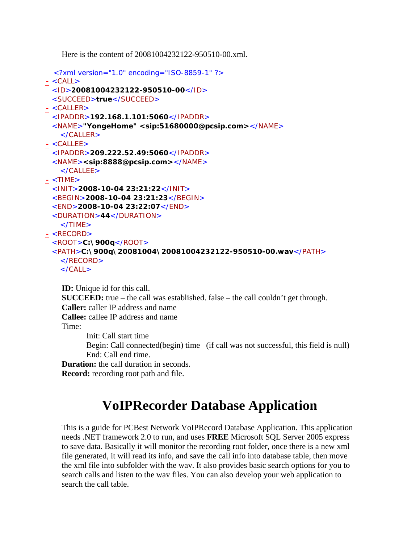Here is the content of 20081004232122-950510-00.xml.

```
<?xml version="1.0" encoding="ISO-8859-1" ?> 
- <CALL>
 <ID>20081004232122-950510-00</ID> 
 <SUCCEED>true</SUCCEED> 
- <CALLER>
 <IPADDR>192.168.1.101:5060</IPADDR> 
 <NAME>"YongeHome" <sip:51680000@pcsip.com></NAME> 
   </CALLER>
- <CALLEE>
 <IPADDR>209.222.52.49:5060</IPADDR> 
 <NAME><sip:8888@pcsip.com></NAME> 
   </CALLEE>- <TIME>
 <INIT>2008-10-04 23:21:22</INIT> 
 <BEGIN>2008-10-04 23:21:23</BEGIN> 
 <END>2008-10-04 23:22:07</END> 
 <DURATION>44</DURATION> 
   \langle/TIMF>- <RECORD>
 <ROOT>C:\900q</ROOT> 
 <PATH>C:\900q\20081004\20081004232122-950510-00.wav</PATH> 
   </RECORD>
   \langle CALL\rangleID: Unique id for this call. 
    SUCCEED: true – the call was established. false – the call couldn't get through. 
    Caller: caller IP address and name
```
**Callee:** callee IP address and name

#### Time:

Init: Call start time

Begin: Call connected(begin) time (if call was not successful, this field is null) End: Call end time.

**Duration:** the call duration in seconds.

**Record:** recording root path and file.

# **VoIPRecorder Database Application**

This is a guide for PCBest Network VoIPRecord Database Application. This application needs .NET framework 2.0 to run, and uses **FREE** Microsoft SQL Server 2005 express to save data. Basically it will monitor the recording root folder, once there is a new xml file generated, it will read its info, and save the call info into database table, then move the xml file into subfolder with the wav. It also provides basic search options for you to search calls and listen to the wav files. You can also develop your web application to search the call table.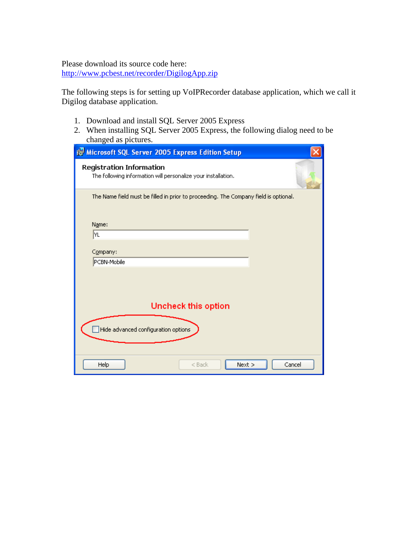#### Please download its source code here:

<http://www.pcbest.net/recorder/DigilogApp.zip>

The following steps is for setting up VoIPRecorder database application, which we call it Digilog database application.

- 1. Download and install SQL Server 2005 Express
- 2. When installing SQL Server 2005 Express, the following dialog need to be changed as pictures.

| is Microsoft SQL Server 2005 Express Edition Setup                                               |  |
|--------------------------------------------------------------------------------------------------|--|
| <b>Registration Information</b><br>The following information will personalize your installation. |  |
| The Name field must be filled in prior to proceeding. The Company field is optional.             |  |
| Name:<br> YL                                                                                     |  |
| Company:                                                                                         |  |
| PCBN-Mobile                                                                                      |  |
|                                                                                                  |  |
| <b>Uncheck this option</b>                                                                       |  |
| Hide advanced configuration options                                                              |  |
|                                                                                                  |  |
| Help<br>Next<br>Cancel<br>$<$ Back                                                               |  |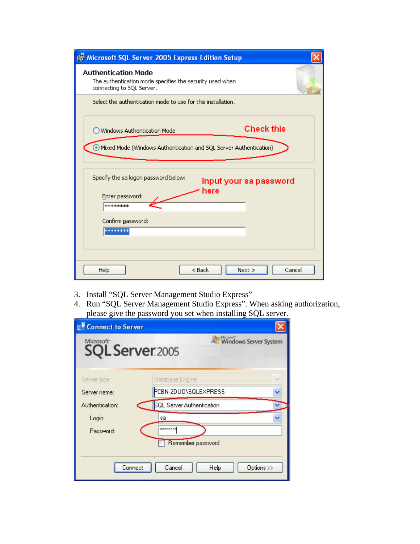| is Microsoft SQL Server 2005 Express Edition Setup                                                                    |
|-----------------------------------------------------------------------------------------------------------------------|
| Authentication Mode<br>The authentication mode specifies the security used when<br>connecting to SQL Server.          |
| Select the authentication mode to use for this installation.                                                          |
| <b>Check this</b><br>Windows Authentication Mode<br>Mixed Mode (Windows Authentication and SQL Server Authentication) |
| Specify the sa logon password below:<br>Input your sa password<br>here<br>Enter password:<br>********                 |
| Confirm password:<br>********                                                                                         |
| Next<br><b>Help</b><br>$<$ Back<br>Cancel                                                                             |

- 3. Install "SQL Server Management Studio Express"
- 4. Run "SQL Server Management Studio Express". When asking authorization, please give the password you set when installing SQL server.

| <b>Connect to Server</b>                  |                                                        |  |
|-------------------------------------------|--------------------------------------------------------|--|
| Microsoft <sup>-</sup><br>SQL Server.2005 | Microsoft <sup>-</sup><br><b>Windows Server System</b> |  |
| Server type:                              | Database Engine                                        |  |
| Server name:                              | PCBN-2DUO\SQLEXPRESS                                   |  |
| Authentication:<br>Login:                 | <b>SQL Server Authentication</b><br>sa                 |  |
| Password:                                 | <b>xxxxxxxxx</b>                                       |  |
|                                           | Remember password                                      |  |
| Connect                                   | Cancel<br>Help<br>Options >>                           |  |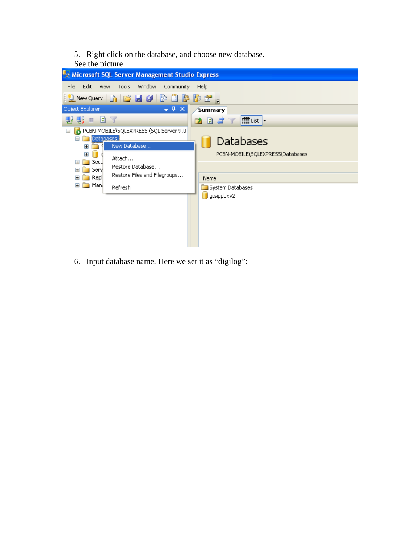- 5. Right click on the database, and choose new database.
- See the picture

| Microsoft SQL Server Management Studio Express                                                                                                                                         |                                               |
|----------------------------------------------------------------------------------------------------------------------------------------------------------------------------------------|-----------------------------------------------|
| Edit<br>Window<br>File<br><b>View</b><br><b>Tools</b><br>Community                                                                                                                     | Help                                          |
| $\left \mathbf{Q}\right $ New Query $\left \mathbf{D}\right $ is a in $\left \mathbf{P}\right $ in $\left \mathbf{E}\right $ in $\left \mathbf{E}\right $ in $\left \mathbf{E}\right $ |                                               |
| Object Explorer<br>$-4 ×$                                                                                                                                                              | Summary                                       |
| 影口<br>d y                                                                                                                                                                              | iii List   <del>v</del><br>82 T<br>D)         |
| PCBN-MOBILE\SQLEXPRESS (SQL Server 9.0<br>Ξ<br>Databases<br>a fil<br>New Database<br>$\mathbf \Xi$<br>$\mathbf \Xi$<br>Attach                                                          | Databases<br>PCBN-MOBILE\SQLEXPRESS\Databases |
| Secu<br>Œ<br>Restore Database<br>Servi<br>$\mathbf{H}$<br>Restore Files and Filegroups<br>Repl<br>$\mathbf{H}$                                                                         | Name                                          |
| Man <sub>t</sub><br>$\blacksquare$<br>Refresh                                                                                                                                          | System Databases<br>gtsippbxv2                |

6. Input database name. Here we set it as "digilog":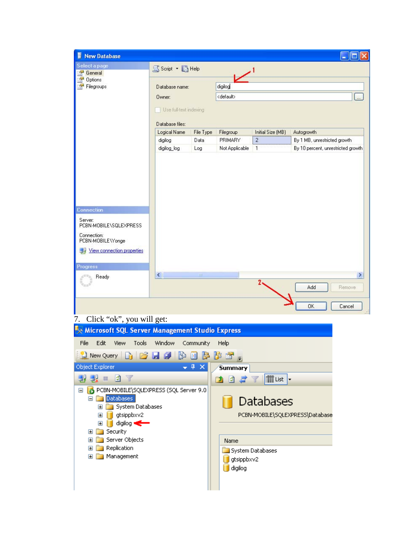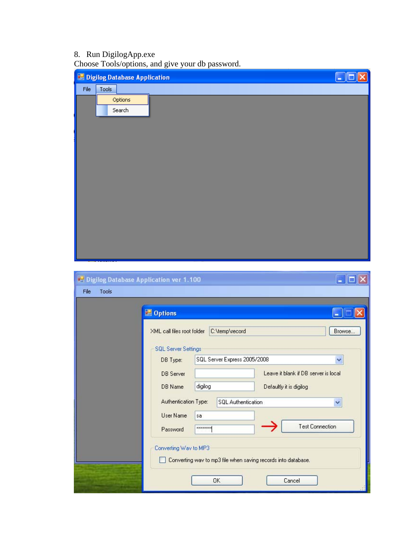#### 8. Run DigilogApp.exe

Choose Tools/options, and give your db password.

|      | <b>Digilog Database Application</b> |                                                                    |                                                                                                       |
|------|-------------------------------------|--------------------------------------------------------------------|-------------------------------------------------------------------------------------------------------|
| File | Tools                               |                                                                    |                                                                                                       |
|      | Options                             |                                                                    |                                                                                                       |
|      | Search                              |                                                                    |                                                                                                       |
|      |                                     |                                                                    |                                                                                                       |
|      |                                     |                                                                    |                                                                                                       |
|      |                                     |                                                                    |                                                                                                       |
|      |                                     |                                                                    |                                                                                                       |
|      |                                     |                                                                    |                                                                                                       |
|      |                                     |                                                                    |                                                                                                       |
|      |                                     |                                                                    |                                                                                                       |
|      |                                     |                                                                    |                                                                                                       |
|      |                                     |                                                                    |                                                                                                       |
|      |                                     |                                                                    |                                                                                                       |
|      |                                     |                                                                    |                                                                                                       |
|      |                                     | Digilog Database Application ver 1.100                             | $\overline{\phantom{a}}$ . $\overline{\phantom{a}}$ $\overline{\phantom{a}}$ $\overline{\phantom{a}}$ |
| File | Tools                               |                                                                    |                                                                                                       |
|      |                                     |                                                                    | о                                                                                                     |
|      |                                     | <b>Department</b>                                                  | E                                                                                                     |
|      |                                     | XML call files root folder<br>C:\temp\record                       | Browse                                                                                                |
|      |                                     | <b>SQL Server Settings</b>                                         |                                                                                                       |
|      |                                     | SQL Server Express 2005/2008<br>DB Type:                           | ×                                                                                                     |
|      |                                     | Leave it blank if DB server is local<br><b>DB</b> Server           |                                                                                                       |
|      |                                     | DB Name<br>digilog<br>Defaultly it is digilog                      |                                                                                                       |
|      |                                     | Authentication Type:<br>SQL Authentication                         | Y                                                                                                     |
|      |                                     | User Name<br>sa                                                    |                                                                                                       |
|      |                                     | <b>Test Connection</b><br><b>xxxxxxxx</b><br>Password              |                                                                                                       |
|      |                                     | Converting Wav to MP3                                              |                                                                                                       |
|      |                                     | Converting way to mp3 file when saving records into database.<br>n |                                                                                                       |
|      |                                     |                                                                    |                                                                                                       |
|      |                                     | OK<br>Cancel                                                       |                                                                                                       |